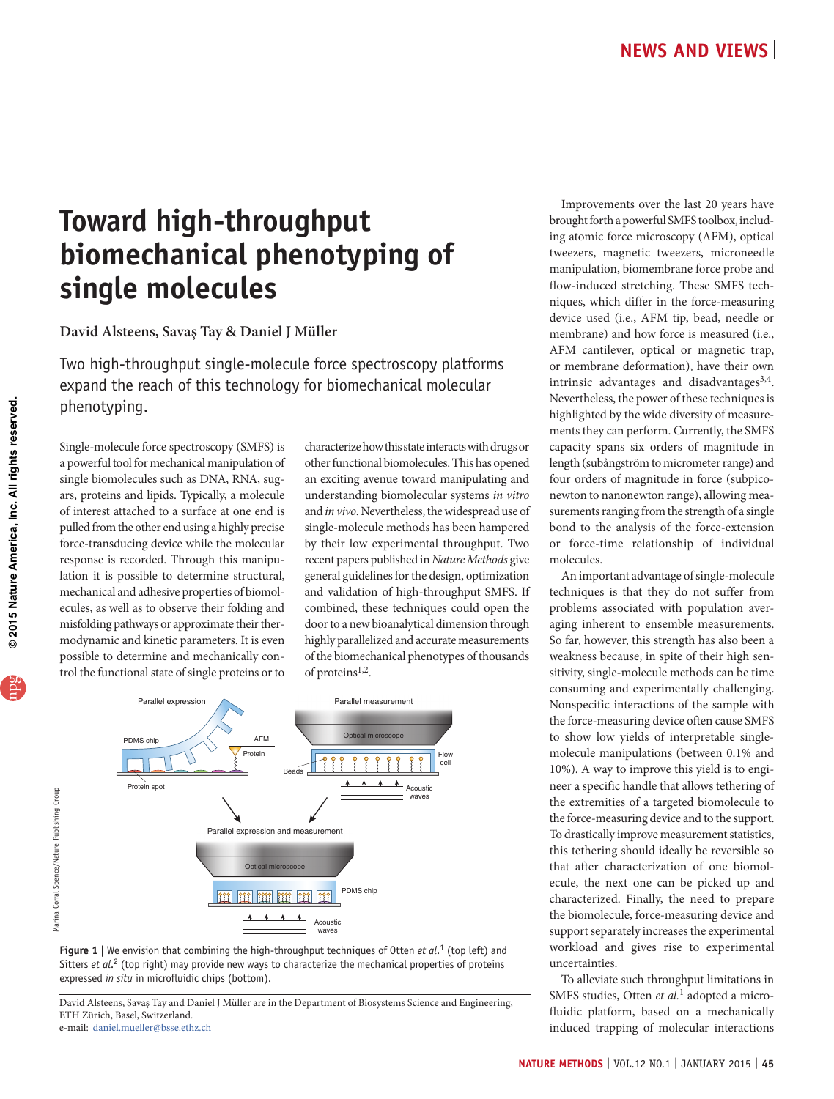## **Toward high-throughput biomechanical phenotyping of single molecules**

**David Alsteens, Savaş Tay & Daniel J Müller**

Two high-throughput single-molecule force spectroscopy platforms expand the reach of this technology for biomechanical molecular phenotyping.

Single-molecule force spectroscopy (SMFS) is a powerful tool for mechanical manipulation of single biomolecules such as DNA, RNA, sugars, proteins and lipids. Typically, a molecule of interest attached to a surface at one end is pulled from the other end using a highly precise force-transducing device while the molecular response is recorded. Through this manipulation it is possible to determine structural, mechanical and adhesive properties of biomolecules, as well as to observe their folding and misfolding pathways or approximate their thermodynamic and kinetic parameters. It is even possible to determine and mechanically control the functional state of single proteins or to

characterize how this state interacts with drugs or other functional biomolecules. This has opened an exciting avenue toward manipulating and understanding biomolecular systems *in vitro* and *in vivo*. Nevertheless, the widespread use of single-molecule methods has been hampered by their low experimental throughput. Two recent papers published in *Nature Methods* give general guidelines for the design, optimization and validation of high-throughput SMFS. If combined, these techniques could open the door to a new bioanalytical dimension through highly parallelized and accurate measurements of the biomechanical phenotypes of thousands of proteins<sup>1,2</sup>.





David Alsteens, Savaş Tay and Daniel J Müller are in the Department of Biosystems Science and Engineering, ETH Zürich, Basel, Switzerland. e-mail: daniel.mueller@bsse.ethz.ch

Improvements over the last 20 years have brought forth a powerful SMFS toolbox, including atomic force microscopy (AFM), optical tweezers, magnetic tweezers, microneedle manipulation, biomembrane force probe and flow-induced stretching. These SMFS techniques, which differ in the force-measuring device used (i.e., AFM tip, bead, needle or membrane) and how force is measured (i.e., AFM cantilever, optical or magnetic trap, or membrane deformation), have their own intrinsic advantages and disadvantages $3,4$ . Nevertheless, the power of these techniques is highlighted by the wide diversity of measurements they can perform. Currently, the SMFS capacity spans six orders of magnitude in length (subångström to micrometer range) and four orders of magnitude in force (subpiconewton to nanonewton range), allowing measurements ranging from the strength of a single bond to the analysis of the force-extension or force-time relationship of individual molecules.

An important advantage of single-molecule techniques is that they do not suffer from problems associated with population averaging inherent to ensemble measurements. So far, however, this strength has also been a weakness because, in spite of their high sensitivity, single-molecule methods can be time consuming and experimentally challenging. Nonspecific interactions of the sample with the force-measuring device often cause SMFS to show low yields of interpretable singlemolecule manipulations (between 0.1% and 10%). A way to improve this yield is to engineer a specific handle that allows tethering of the extremities of a targeted biomolecule to the force-measuring device and to the support. To drastically improve measurement statistics, this tethering should ideally be reversible so that after characterization of one biomolecule, the next one can be picked up and characterized. Finally, the need to prepare the biomolecule, force-measuring device and support separately increases the experimental workload and gives rise to experimental uncertainties.

To alleviate such throughput limitations in SMFS studies, Otten *et al.*1 adopted a microfluidic platform, based on a mechanically induced trapping of molecular interactions